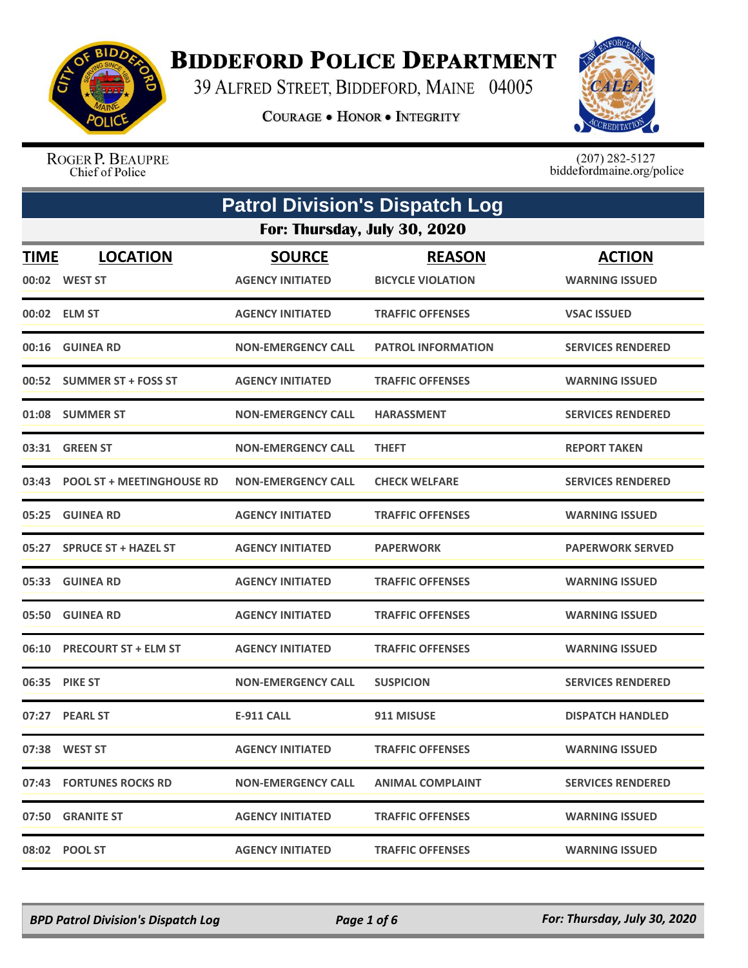

## **BIDDEFORD POLICE DEPARTMENT**

39 ALFRED STREET, BIDDEFORD, MAINE 04005

**COURAGE . HONOR . INTEGRITY** 



ROGER P. BEAUPRE Chief of Police

 $(207)$  282-5127<br>biddefordmaine.org/police

| <b>Patrol Division's Dispatch Log</b> |                                  |                                          |                                           |                                        |  |  |
|---------------------------------------|----------------------------------|------------------------------------------|-------------------------------------------|----------------------------------------|--|--|
|                                       | For: Thursday, July 30, 2020     |                                          |                                           |                                        |  |  |
| <b>TIME</b>                           | <b>LOCATION</b><br>00:02 WEST ST | <b>SOURCE</b><br><b>AGENCY INITIATED</b> | <b>REASON</b><br><b>BICYCLE VIOLATION</b> | <b>ACTION</b><br><b>WARNING ISSUED</b> |  |  |
|                                       | 00:02 ELM ST                     | <b>AGENCY INITIATED</b>                  | <b>TRAFFIC OFFENSES</b>                   | <b>VSAC ISSUED</b>                     |  |  |
|                                       | 00:16 GUINEA RD                  | <b>NON-EMERGENCY CALL</b>                | <b>PATROL INFORMATION</b>                 | <b>SERVICES RENDERED</b>               |  |  |
|                                       | 00:52 SUMMER ST + FOSS ST        | <b>AGENCY INITIATED</b>                  | <b>TRAFFIC OFFENSES</b>                   | <b>WARNING ISSUED</b>                  |  |  |
|                                       | 01:08 SUMMER ST                  | <b>NON-EMERGENCY CALL</b>                | <b>HARASSMENT</b>                         | <b>SERVICES RENDERED</b>               |  |  |
|                                       | 03:31 GREEN ST                   | <b>NON-EMERGENCY CALL</b>                | <b>THEFT</b>                              | <b>REPORT TAKEN</b>                    |  |  |
|                                       | 03:43 POOL ST + MEETINGHOUSE RD  | <b>NON-EMERGENCY CALL</b>                | <b>CHECK WELFARE</b>                      | <b>SERVICES RENDERED</b>               |  |  |
| 05:25                                 | <b>GUINEA RD</b>                 | <b>AGENCY INITIATED</b>                  | <b>TRAFFIC OFFENSES</b>                   | <b>WARNING ISSUED</b>                  |  |  |
|                                       | 05:27 SPRUCE ST + HAZEL ST       | <b>AGENCY INITIATED</b>                  | <b>PAPERWORK</b>                          | <b>PAPERWORK SERVED</b>                |  |  |
|                                       | 05:33 GUINEA RD                  | <b>AGENCY INITIATED</b>                  | <b>TRAFFIC OFFENSES</b>                   | <b>WARNING ISSUED</b>                  |  |  |
|                                       | 05:50 GUINEA RD                  | <b>AGENCY INITIATED</b>                  | <b>TRAFFIC OFFENSES</b>                   | <b>WARNING ISSUED</b>                  |  |  |
|                                       | 06:10 PRECOURT ST + ELM ST       | <b>AGENCY INITIATED</b>                  | <b>TRAFFIC OFFENSES</b>                   | <b>WARNING ISSUED</b>                  |  |  |
|                                       | 06:35 PIKE ST                    | <b>NON-EMERGENCY CALL</b>                | <b>SUSPICION</b>                          | <b>SERVICES RENDERED</b>               |  |  |
|                                       | 07:27 PEARL ST                   | <b>E-911 CALL</b>                        | 911 MISUSE                                | <b>DISPATCH HANDLED</b>                |  |  |
|                                       | 07:38 WEST ST                    | <b>AGENCY INITIATED</b>                  | <b>TRAFFIC OFFENSES</b>                   | <b>WARNING ISSUED</b>                  |  |  |
|                                       | 07:43 FORTUNES ROCKS RD          | <b>NON-EMERGENCY CALL</b>                | <b>ANIMAL COMPLAINT</b>                   | <b>SERVICES RENDERED</b>               |  |  |
|                                       | 07:50 GRANITE ST                 | <b>AGENCY INITIATED</b>                  | <b>TRAFFIC OFFENSES</b>                   | <b>WARNING ISSUED</b>                  |  |  |
|                                       | 08:02 POOL ST                    | <b>AGENCY INITIATED</b>                  | <b>TRAFFIC OFFENSES</b>                   | <b>WARNING ISSUED</b>                  |  |  |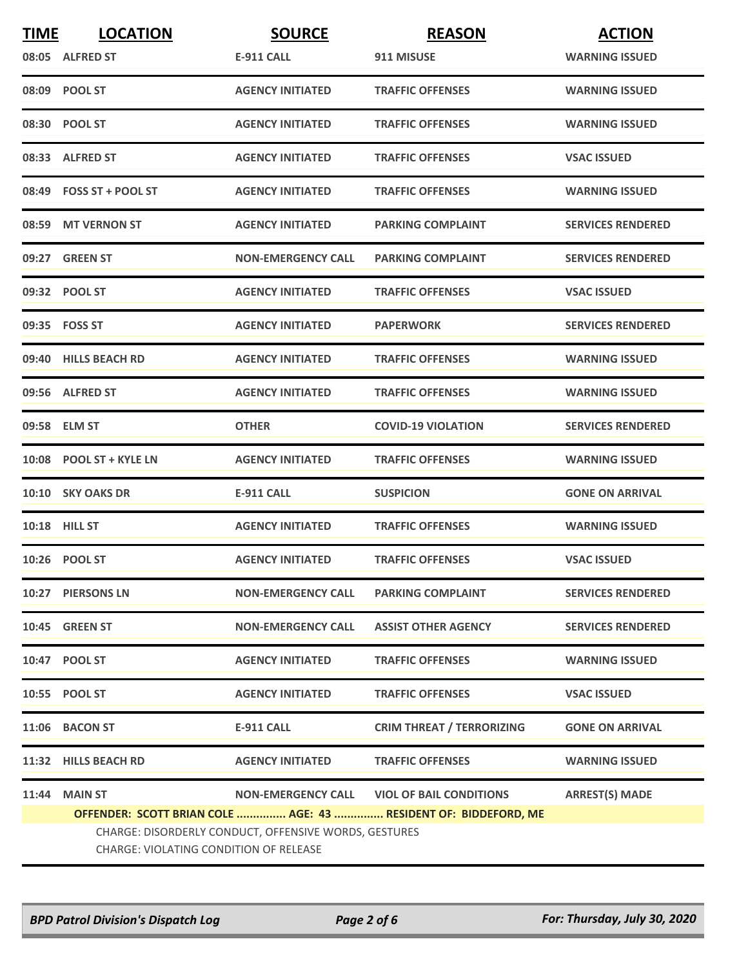| <b>TIME</b> | <b>LOCATION</b>                                                                                 | <b>SOURCE</b>             | <b>REASON</b>                                                   | <b>ACTION</b>            |  |
|-------------|-------------------------------------------------------------------------------------------------|---------------------------|-----------------------------------------------------------------|--------------------------|--|
|             | 08:05 ALFRED ST                                                                                 | E-911 CALL                | 911 MISUSE                                                      | <b>WARNING ISSUED</b>    |  |
|             | 08:09 POOL ST                                                                                   | <b>AGENCY INITIATED</b>   | <b>TRAFFIC OFFENSES</b>                                         | <b>WARNING ISSUED</b>    |  |
|             | 08:30 POOL ST                                                                                   | <b>AGENCY INITIATED</b>   | <b>TRAFFIC OFFENSES</b>                                         | <b>WARNING ISSUED</b>    |  |
|             | 08:33 ALFRED ST                                                                                 | <b>AGENCY INITIATED</b>   | <b>TRAFFIC OFFENSES</b>                                         | <b>VSAC ISSUED</b>       |  |
|             | 08:49 FOSS ST + POOL ST                                                                         | <b>AGENCY INITIATED</b>   | <b>TRAFFIC OFFENSES</b>                                         | <b>WARNING ISSUED</b>    |  |
|             | 08:59 MT VERNON ST                                                                              | <b>AGENCY INITIATED</b>   | <b>PARKING COMPLAINT</b>                                        | <b>SERVICES RENDERED</b> |  |
| 09:27       | <b>GREEN ST</b>                                                                                 | <b>NON-EMERGENCY CALL</b> | <b>PARKING COMPLAINT</b>                                        | <b>SERVICES RENDERED</b> |  |
|             | 09:32 POOL ST                                                                                   | <b>AGENCY INITIATED</b>   | <b>TRAFFIC OFFENSES</b>                                         | <b>VSAC ISSUED</b>       |  |
|             | 09:35    FOSS ST                                                                                | <b>AGENCY INITIATED</b>   | <b>PAPERWORK</b>                                                | <b>SERVICES RENDERED</b> |  |
|             | 09:40 HILLS BEACH RD                                                                            | <b>AGENCY INITIATED</b>   | <b>TRAFFIC OFFENSES</b>                                         | <b>WARNING ISSUED</b>    |  |
|             | 09:56 ALFRED ST                                                                                 | <b>AGENCY INITIATED</b>   | <b>TRAFFIC OFFENSES</b>                                         | <b>WARNING ISSUED</b>    |  |
|             | 09:58 ELM ST                                                                                    | <b>OTHER</b>              | <b>COVID-19 VIOLATION</b>                                       | <b>SERVICES RENDERED</b> |  |
|             | 10:08 POOL ST + KYLE LN                                                                         | <b>AGENCY INITIATED</b>   | <b>TRAFFIC OFFENSES</b>                                         | <b>WARNING ISSUED</b>    |  |
| 10:10       | <b>SKY OAKS DR</b>                                                                              | <b>E-911 CALL</b>         | <b>SUSPICION</b>                                                | <b>GONE ON ARRIVAL</b>   |  |
|             | <b>10:18 HILL ST</b>                                                                            | <b>AGENCY INITIATED</b>   | <b>TRAFFIC OFFENSES</b>                                         | <b>WARNING ISSUED</b>    |  |
|             | 10:26 POOL ST                                                                                   | <b>AGENCY INITIATED</b>   | <b>TRAFFIC OFFENSES</b>                                         | <b>VSAC ISSUED</b>       |  |
|             | 10:27 PIERSONS LN                                                                               | <b>NON-EMERGENCY CALL</b> | <b>PARKING COMPLAINT</b>                                        | <b>SERVICES RENDERED</b> |  |
|             | 10:45 GREEN ST                                                                                  | <b>NON-EMERGENCY CALL</b> | <b>ASSIST OTHER AGENCY</b>                                      | <b>SERVICES RENDERED</b> |  |
|             | 10:47 POOL ST                                                                                   | <b>AGENCY INITIATED</b>   | <b>TRAFFIC OFFENSES</b>                                         | <b>WARNING ISSUED</b>    |  |
|             | 10:55 POOL ST                                                                                   | <b>AGENCY INITIATED</b>   | <b>TRAFFIC OFFENSES</b>                                         | <b>VSAC ISSUED</b>       |  |
|             | 11:06 BACON ST                                                                                  | <b>E-911 CALL</b>         | <b>CRIM THREAT / TERRORIZING</b>                                | <b>GONE ON ARRIVAL</b>   |  |
|             | 11:32 HILLS BEACH RD                                                                            | <b>AGENCY INITIATED</b>   | <b>TRAFFIC OFFENSES</b>                                         | <b>WARNING ISSUED</b>    |  |
| 11:44       | <b>MAIN ST</b>                                                                                  |                           | NON-EMERGENCY CALL VIOL OF BAIL CONDITIONS                      | <b>ARREST(S) MADE</b>    |  |
|             |                                                                                                 |                           | OFFENDER: SCOTT BRIAN COLE  AGE: 43  RESIDENT OF: BIDDEFORD, ME |                          |  |
|             | CHARGE: DISORDERLY CONDUCT, OFFENSIVE WORDS, GESTURES<br>CHARGE: VIOLATING CONDITION OF RELEASE |                           |                                                                 |                          |  |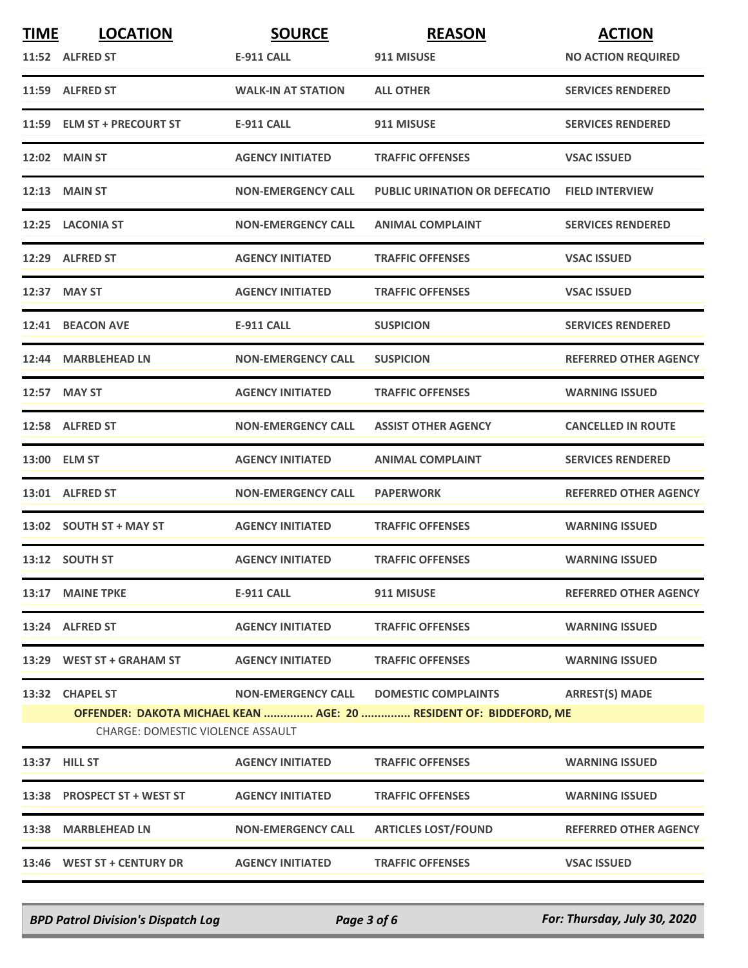| <b>TIME</b> | <b>LOCATION</b>                          | <b>SOURCE</b>             | <b>REASON</b>                                                      | <b>ACTION</b>                |
|-------------|------------------------------------------|---------------------------|--------------------------------------------------------------------|------------------------------|
|             | 11:52 ALFRED ST                          | <b>E-911 CALL</b>         | 911 MISUSE                                                         | <b>NO ACTION REQUIRED</b>    |
|             | 11:59 ALFRED ST                          | <b>WALK-IN AT STATION</b> | <b>ALL OTHER</b>                                                   | <b>SERVICES RENDERED</b>     |
|             | 11:59 ELM ST + PRECOURT ST               | <b>E-911 CALL</b>         | 911 MISUSE                                                         | <b>SERVICES RENDERED</b>     |
|             | 12:02 MAIN ST                            | <b>AGENCY INITIATED</b>   | <b>TRAFFIC OFFENSES</b>                                            | <b>VSAC ISSUED</b>           |
|             | $12:13$ MAIN ST                          | <b>NON-EMERGENCY CALL</b> | <b>PUBLIC URINATION OR DEFECATIO</b>                               | <b>FIELD INTERVIEW</b>       |
|             | 12:25 LACONIA ST                         | <b>NON-EMERGENCY CALL</b> | <b>ANIMAL COMPLAINT</b>                                            | <b>SERVICES RENDERED</b>     |
|             | 12:29 ALFRED ST                          | <b>AGENCY INITIATED</b>   | <b>TRAFFIC OFFENSES</b>                                            | <b>VSAC ISSUED</b>           |
|             | 12:37 MAY ST                             | <b>AGENCY INITIATED</b>   | <b>TRAFFIC OFFENSES</b>                                            | <b>VSAC ISSUED</b>           |
|             | 12:41 BEACON AVE                         | <b>E-911 CALL</b>         | <b>SUSPICION</b>                                                   | <b>SERVICES RENDERED</b>     |
|             | 12:44 MARBLEHEAD LN                      | <b>NON-EMERGENCY CALL</b> | <b>SUSPICION</b>                                                   | <b>REFERRED OTHER AGENCY</b> |
|             | 12:57 MAY ST                             | <b>AGENCY INITIATED</b>   | <b>TRAFFIC OFFENSES</b>                                            | <b>WARNING ISSUED</b>        |
|             | 12:58 ALFRED ST                          | <b>NON-EMERGENCY CALL</b> | <b>ASSIST OTHER AGENCY</b>                                         | <b>CANCELLED IN ROUTE</b>    |
|             | 13:00 ELM ST                             | <b>AGENCY INITIATED</b>   | <b>ANIMAL COMPLAINT</b>                                            | <b>SERVICES RENDERED</b>     |
|             | 13:01 ALFRED ST                          | <b>NON-EMERGENCY CALL</b> | <b>PAPERWORK</b>                                                   | <b>REFERRED OTHER AGENCY</b> |
|             | 13:02 SOUTH ST + MAY ST                  | <b>AGENCY INITIATED</b>   | <b>TRAFFIC OFFENSES</b>                                            | <b>WARNING ISSUED</b>        |
|             | 13:12 SOUTH ST                           | <b>AGENCY INITIATED</b>   | <b>TRAFFIC OFFENSES</b>                                            | <b>WARNING ISSUED</b>        |
|             | 13:17 MAINE TPKE                         | <b>E-911 CALL</b>         | 911 MISUSE                                                         | <b>REFERRED OTHER AGENCY</b> |
|             | 13:24 ALFRED ST                          | <b>AGENCY INITIATED</b>   | <b>TRAFFIC OFFENSES</b>                                            | <b>WARNING ISSUED</b>        |
|             | 13:29 WEST ST + GRAHAM ST                | <b>AGENCY INITIATED</b>   | <b>TRAFFIC OFFENSES</b>                                            | <b>WARNING ISSUED</b>        |
|             | 13:32 CHAPEL ST                          | <b>NON-EMERGENCY CALL</b> | <b>DOMESTIC COMPLAINTS</b>                                         | <b>ARREST(S) MADE</b>        |
|             | <b>CHARGE: DOMESTIC VIOLENCE ASSAULT</b> |                           | OFFENDER: DAKOTA MICHAEL KEAN  AGE: 20  RESIDENT OF: BIDDEFORD, ME |                              |
|             | 13:37 HILL ST                            | <b>AGENCY INITIATED</b>   | <b>TRAFFIC OFFENSES</b>                                            | <b>WARNING ISSUED</b>        |
|             | 13:38 PROSPECT ST + WEST ST              | <b>AGENCY INITIATED</b>   | <b>TRAFFIC OFFENSES</b>                                            | <b>WARNING ISSUED</b>        |
|             | 13:38 MARBLEHEAD LN                      | <b>NON-EMERGENCY CALL</b> | <b>ARTICLES LOST/FOUND</b>                                         | <b>REFERRED OTHER AGENCY</b> |
|             | 13:46 WEST ST + CENTURY DR               | <b>AGENCY INITIATED</b>   | <b>TRAFFIC OFFENSES</b>                                            | <b>VSAC ISSUED</b>           |

*BPD Patrol Division's Dispatch Log Page 3 of 6 For: Thursday, July 30, 2020*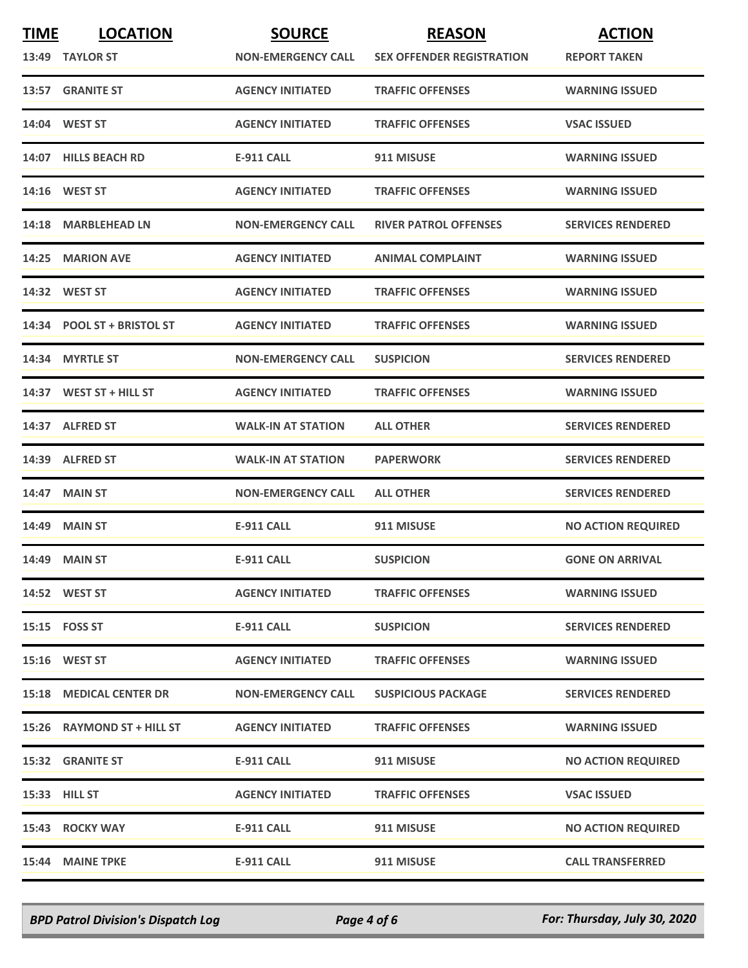| <b>TIME</b> | <b>LOCATION</b>                | <b>SOURCE</b>             | <b>REASON</b>                    | <b>ACTION</b>             |
|-------------|--------------------------------|---------------------------|----------------------------------|---------------------------|
|             | 13:49 TAYLOR ST                | <b>NON-EMERGENCY CALL</b> | <b>SEX OFFENDER REGISTRATION</b> | <b>REPORT TAKEN</b>       |
|             | 13:57 GRANITE ST               | <b>AGENCY INITIATED</b>   | <b>TRAFFIC OFFENSES</b>          | <b>WARNING ISSUED</b>     |
|             | 14:04 WEST ST                  | <b>AGENCY INITIATED</b>   | <b>TRAFFIC OFFENSES</b>          | <b>VSAC ISSUED</b>        |
|             | 14:07 HILLS BEACH RD           | <b>E-911 CALL</b>         | 911 MISUSE                       | <b>WARNING ISSUED</b>     |
|             | 14:16 WEST ST                  | <b>AGENCY INITIATED</b>   | <b>TRAFFIC OFFENSES</b>          | <b>WARNING ISSUED</b>     |
|             | 14:18 MARBLEHEAD LN            | <b>NON-EMERGENCY CALL</b> | <b>RIVER PATROL OFFENSES</b>     | <b>SERVICES RENDERED</b>  |
|             | 14:25 MARION AVE               | <b>AGENCY INITIATED</b>   | <b>ANIMAL COMPLAINT</b>          | <b>WARNING ISSUED</b>     |
|             | 14:32 WEST ST                  | <b>AGENCY INITIATED</b>   | <b>TRAFFIC OFFENSES</b>          | <b>WARNING ISSUED</b>     |
|             | 14:34 POOL ST + BRISTOL ST     | <b>AGENCY INITIATED</b>   | <b>TRAFFIC OFFENSES</b>          | <b>WARNING ISSUED</b>     |
|             | 14:34 MYRTLE ST                | <b>NON-EMERGENCY CALL</b> | <b>SUSPICION</b>                 | <b>SERVICES RENDERED</b>  |
|             | $14:37$ WEST ST + HILL ST      | <b>AGENCY INITIATED</b>   | <b>TRAFFIC OFFENSES</b>          | <b>WARNING ISSUED</b>     |
|             | 14:37 ALFRED ST                | <b>WALK-IN AT STATION</b> | <b>ALL OTHER</b>                 | <b>SERVICES RENDERED</b>  |
|             | 14:39 ALFRED ST                | <b>WALK-IN AT STATION</b> | <b>PAPERWORK</b>                 | <b>SERVICES RENDERED</b>  |
|             | 14:47 MAIN ST                  | <b>NON-EMERGENCY CALL</b> | <b>ALL OTHER</b>                 | <b>SERVICES RENDERED</b>  |
|             | 14:49 MAIN ST                  | <b>E-911 CALL</b>         | 911 MISUSE                       | <b>NO ACTION REQUIRED</b> |
|             | 14:49 MAIN ST                  | <b>E-911 CALL</b>         | <b>SUSPICION</b>                 | <b>GONE ON ARRIVAL</b>    |
|             | 14:52 WEST ST                  | <b>AGENCY INITIATED</b>   | <b>TRAFFIC OFFENSES</b>          | <b>WARNING ISSUED</b>     |
|             | 15:15    FOSS ST               | <b>E-911 CALL</b>         | <b>SUSPICION</b>                 | <b>SERVICES RENDERED</b>  |
|             | <b>15:16 WEST ST</b>           | <b>AGENCY INITIATED</b>   | <b>TRAFFIC OFFENSES</b>          | <b>WARNING ISSUED</b>     |
|             | <b>15:18 MEDICAL CENTER DR</b> | <b>NON-EMERGENCY CALL</b> | <b>SUSPICIOUS PACKAGE</b>        | <b>SERVICES RENDERED</b>  |
|             | 15:26 RAYMOND ST + HILL ST     | <b>AGENCY INITIATED</b>   | <b>TRAFFIC OFFENSES</b>          | <b>WARNING ISSUED</b>     |
|             | <b>15:32 GRANITE ST</b>        | <b>E-911 CALL</b>         | 911 MISUSE                       | <b>NO ACTION REQUIRED</b> |
|             | 15:33 HILL ST                  | <b>AGENCY INITIATED</b>   | <b>TRAFFIC OFFENSES</b>          | <b>VSAC ISSUED</b>        |
|             | 15:43 ROCKY WAY                | <b>E-911 CALL</b>         | 911 MISUSE                       | <b>NO ACTION REQUIRED</b> |
|             | 15:44 MAINE TPKE               | <b>E-911 CALL</b>         | 911 MISUSE                       | <b>CALL TRANSFERRED</b>   |

*BPD Patrol Division's Dispatch Log Page 4 of 6 For: Thursday, July 30, 2020*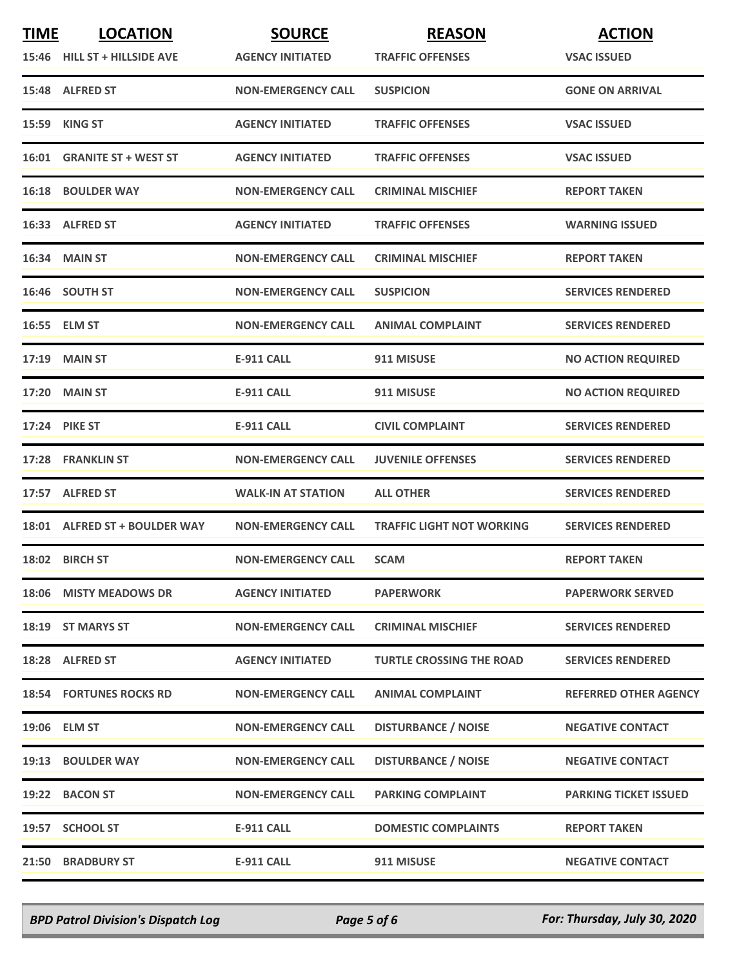| <b>TIME</b> | <b>LOCATION</b>                | <b>SOURCE</b>             | <b>REASON</b>                    | <b>ACTION</b>                |
|-------------|--------------------------------|---------------------------|----------------------------------|------------------------------|
|             | 15:46 HILL ST + HILLSIDE AVE   | <b>AGENCY INITIATED</b>   | <b>TRAFFIC OFFENSES</b>          | <b>VSAC ISSUED</b>           |
|             | 15:48 ALFRED ST                | <b>NON-EMERGENCY CALL</b> | <b>SUSPICION</b>                 | <b>GONE ON ARRIVAL</b>       |
|             | 15:59 KING ST                  | <b>AGENCY INITIATED</b>   | <b>TRAFFIC OFFENSES</b>          | <b>VSAC ISSUED</b>           |
|             | 16:01 GRANITE ST + WEST ST     | <b>AGENCY INITIATED</b>   | <b>TRAFFIC OFFENSES</b>          | <b>VSAC ISSUED</b>           |
|             | <b>16:18 BOULDER WAY</b>       | <b>NON-EMERGENCY CALL</b> | <b>CRIMINAL MISCHIEF</b>         | <b>REPORT TAKEN</b>          |
|             | 16:33 ALFRED ST                | <b>AGENCY INITIATED</b>   | <b>TRAFFIC OFFENSES</b>          | <b>WARNING ISSUED</b>        |
|             | 16:34 MAIN ST                  | <b>NON-EMERGENCY CALL</b> | <b>CRIMINAL MISCHIEF</b>         | <b>REPORT TAKEN</b>          |
|             | 16:46 SOUTH ST                 | <b>NON-EMERGENCY CALL</b> | <b>SUSPICION</b>                 | <b>SERVICES RENDERED</b>     |
|             | 16:55 ELM ST                   | <b>NON-EMERGENCY CALL</b> | <b>ANIMAL COMPLAINT</b>          | <b>SERVICES RENDERED</b>     |
|             | 17:19 MAIN ST                  | <b>E-911 CALL</b>         | 911 MISUSE                       | <b>NO ACTION REQUIRED</b>    |
|             | <b>17:20 MAIN ST</b>           | <b>E-911 CALL</b>         | 911 MISUSE                       | <b>NO ACTION REQUIRED</b>    |
|             | <b>17:24 PIKE ST</b>           | <b>E-911 CALL</b>         | <b>CIVIL COMPLAINT</b>           | <b>SERVICES RENDERED</b>     |
|             | 17:28 FRANKLIN ST              | <b>NON-EMERGENCY CALL</b> | <b>JUVENILE OFFENSES</b>         | <b>SERVICES RENDERED</b>     |
|             | 17:57 ALFRED ST                | <b>WALK-IN AT STATION</b> | <b>ALL OTHER</b>                 | <b>SERVICES RENDERED</b>     |
|             | 18:01 ALFRED ST + BOULDER WAY  | <b>NON-EMERGENCY CALL</b> | <b>TRAFFIC LIGHT NOT WORKING</b> | <b>SERVICES RENDERED</b>     |
|             | 18:02 BIRCH ST                 | <b>NON-EMERGENCY CALL</b> | <b>SCAM</b>                      | <b>REPORT TAKEN</b>          |
|             | 18:06 MISTY MEADOWS DR         | <b>AGENCY INITIATED</b>   | <b>PAPERWORK</b>                 | <b>PAPERWORK SERVED</b>      |
|             | 18:19 ST MARYS ST              | <b>NON-EMERGENCY CALL</b> | <b>CRIMINAL MISCHIEF</b>         | <b>SERVICES RENDERED</b>     |
|             | 18:28 ALFRED ST                | <b>AGENCY INITIATED</b>   | <b>TURTLE CROSSING THE ROAD</b>  | <b>SERVICES RENDERED</b>     |
|             | <b>18:54 FORTUNES ROCKS RD</b> | <b>NON-EMERGENCY CALL</b> | <b>ANIMAL COMPLAINT</b>          | <b>REFERRED OTHER AGENCY</b> |
|             | 19:06 ELM ST                   | <b>NON-EMERGENCY CALL</b> | <b>DISTURBANCE / NOISE</b>       | <b>NEGATIVE CONTACT</b>      |
|             | <b>19:13 BOULDER WAY</b>       | <b>NON-EMERGENCY CALL</b> | <b>DISTURBANCE / NOISE</b>       | <b>NEGATIVE CONTACT</b>      |
|             | 19:22 BACON ST                 | <b>NON-EMERGENCY CALL</b> | <b>PARKING COMPLAINT</b>         | <b>PARKING TICKET ISSUED</b> |
|             | 19:57 SCHOOL ST                | <b>E-911 CALL</b>         | <b>DOMESTIC COMPLAINTS</b>       | <b>REPORT TAKEN</b>          |
|             | <b>21:50 BRADBURY ST</b>       | <b>E-911 CALL</b>         | 911 MISUSE                       | <b>NEGATIVE CONTACT</b>      |

*BPD Patrol Division's Dispatch Log Page 5 of 6 For: Thursday, July 30, 2020*